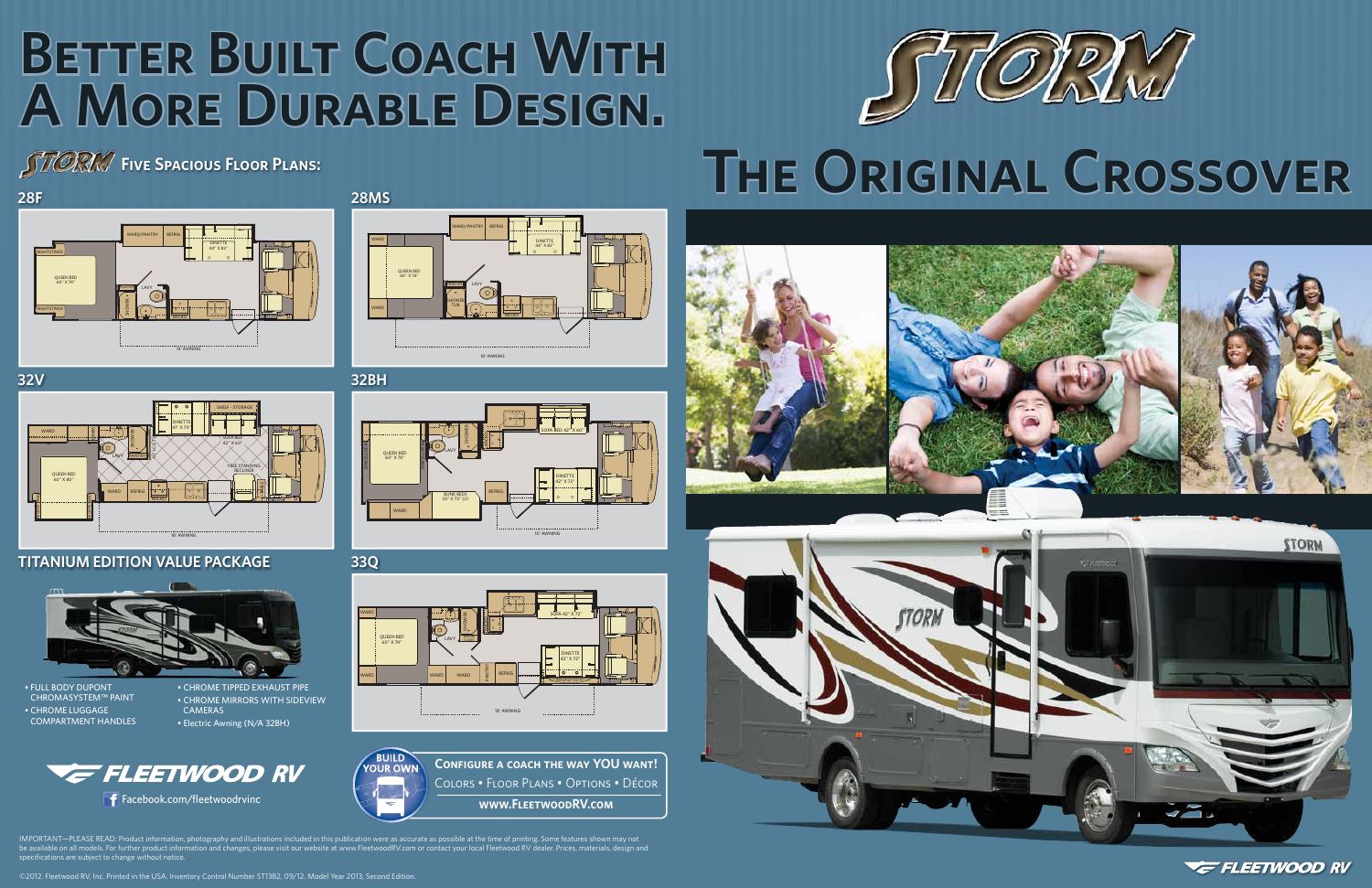#### ©2012. Fleetwood RV, Inc. Printed in the USA. Inventory Control Number ST13B2, 09/12. Model Year 2013, Second Edition.

# **THE ORIGINAL CROSSOVER**





**VE FLEETWOOD RV** 

### **Five Spacious Floor Plans:**



**28F**

## **BETTER BUILT COACH WITH A More Durable Design. Design.**













**BUILD Confi gure a coach the way YOU want! OLIR OW** Colors • Floor Plans • Options • Décor Facebook.com/fleetwoodrvinc **WALLART COMMUNIST COMMUNIST COMMUNIST COMMUNIST COMMUNIST COMMUNIST COMMUNIST COMMU** 

IMPORTANT—PLEASE READ: Product information, photography and illustrations included in this publication were as accurate as possible at the time of printing. Some features shown may not be available on all models. For further product information and changes, please visit our website at www.FleetwoodRV.com or contact your local Fleetwood RV dealer. Prices, materials, design and specifications are subject to change without notice.

• FULL BODY DUPONT CHROMASYSTEM™ PAINT • CHROME LUGGAGECOMPARTMENT HANDLES

• CHROME TIPPED EXHAUST PIPE • CHROME MIRRORS WITH SIDEVIEW CAMERAS• Electric Awning (N/A 32BH)



### **TITANIUM EDITION VALUE PACKAGE**